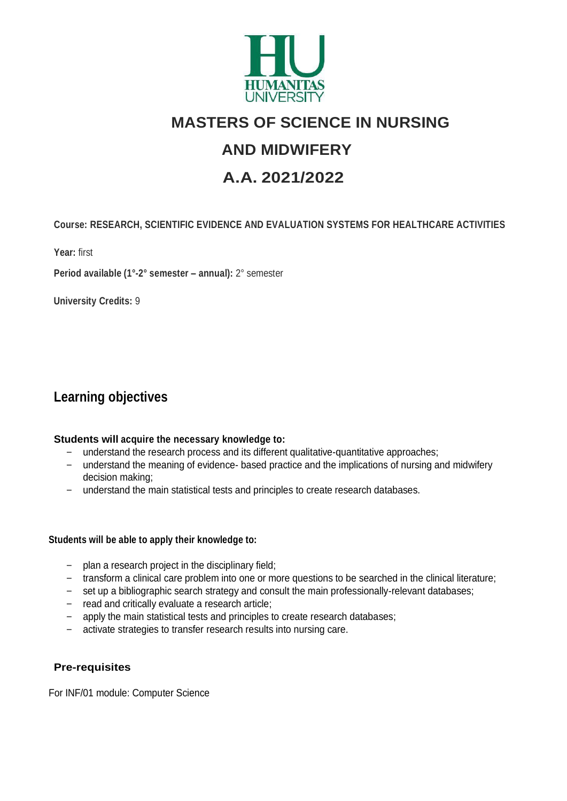

# **MASTERS OF SCIENCE IN NURSING**

# **AND MIDWIFERY**

# **A.A. 2021/2022**

## **Course: RESEARCH, SCIENTIFIC EVIDENCE AND EVALUATION SYSTEMS FOR HEALTHCARE ACTIVITIES**

**Year:** first

**Period available (1°-2° semester – annual):** 2° semester

 **University Credits:** 9

# **Learning objectives**

#### **Students will acquire the necessary knowledge to:**

- understand the research process and its different qualitative-quantitative approaches;
- understand the meaning of evidence- based practice and the implications of nursing and midwifery decision making;
- understand the main statistical tests and principles to create research databases.

#### **Students will be able to apply their knowledge to:**

- plan a research project in the disciplinary field;
- transform a clinical care problem into one or more questions to be searched in the clinical literature;
- set up a bibliographic search strategy and consult the main professionally-relevant databases;
- read and critically evaluate a research article;
- apply the main statistical tests and principles to create research databases;
- activate strategies to transfer research results into nursing care.

### **Pre-requisites**

For INF/01 module: Computer Science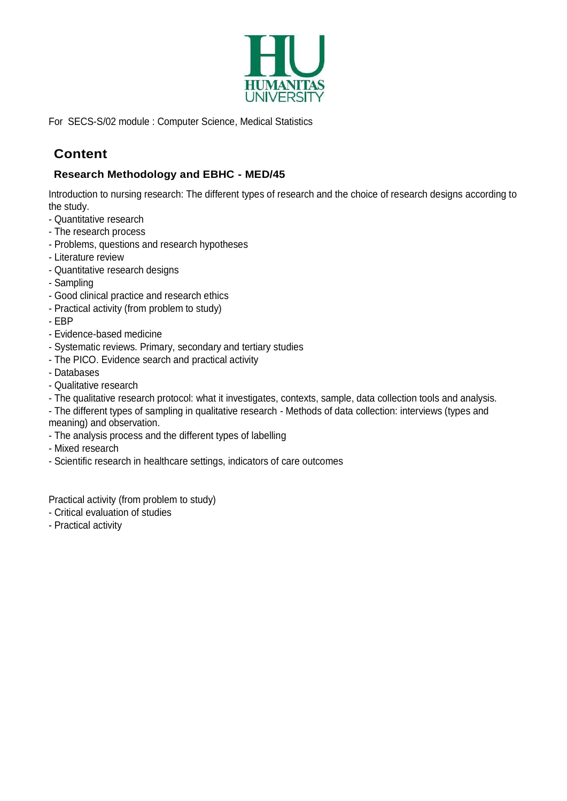

For SECS-S/02 module : Computer Science, Medical Statistics

# **Content**

## **Research Methodology and EBHC - MED/45**

Introduction to nursing research: The different types of research and the choice of research designs according to the study.

- Quantitative research
- The research process
- Problems, questions and research hypotheses
- Literature review
- Quantitative research designs
- Sampling
- Good clinical practice and research ethics
- Practical activity (from problem to study)
- EBP
- Evidence-based medicine
- Systematic reviews. Primary, secondary and tertiary studies
- The PICO. Evidence search and practical activity
- Databases
- Qualitative research
- The qualitative research protocol: what it investigates, contexts, sample, data collection tools and analysis.
- The different types of sampling in qualitative research Methods of data collection: interviews (types and meaning) and observation.
- The analysis process and the different types of labelling
- Mixed research
- Scientific research in healthcare settings, indicators of care outcomes

Practical activity (from problem to study)

- Critical evaluation of studies
- Practical activity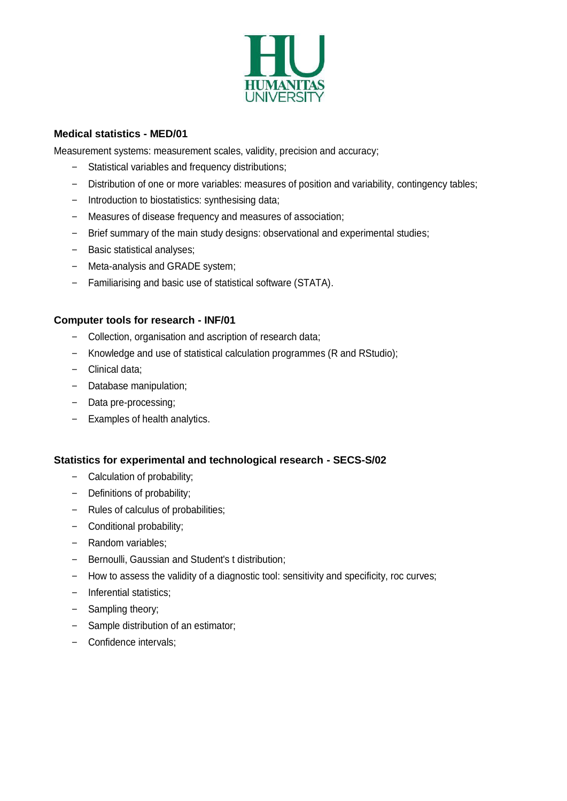

#### **Medical statistics - MED/01**

Measurement systems: measurement scales, validity, precision and accuracy;

- Statistical variables and frequency distributions;
- Distribution of one or more variables: measures of position and variability, contingency tables;
- Introduction to biostatistics: synthesising data;
- Measures of disease frequency and measures of association;
- Brief summary of the main study designs: observational and experimental studies;
- Basic statistical analyses;
- Meta-analysis and GRADE system;
- Familiarising and basic use of statistical software (STATA).

#### **Computer tools for research - INF/01**

- Collection, organisation and ascription of research data;
- Knowledge and use of statistical calculation programmes (R and RStudio);
- Clinical data;
- Database manipulation;
- Data pre-processing;
- Examples of health analytics.

#### **Statistics for experimental and technological research - SECS-S/02**

- Calculation of probability;
- Definitions of probability;
- Rules of calculus of probabilities;
- Conditional probability;
- Random variables;
- Bernoulli, Gaussian and Student's t distribution;
- How to assess the validity of a diagnostic tool: sensitivity and specificity, roc curves;
- Inferential statistics;
- Sampling theory;
- Sample distribution of an estimator;
- Confidence intervals;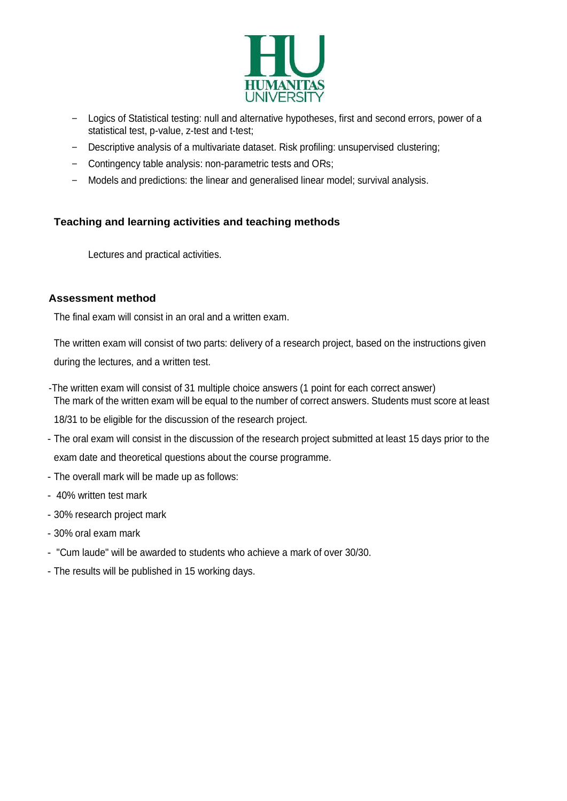

- Logics of Statistical testing: null and alternative hypotheses, first and second errors, power of a statistical test, p-value, z-test and t-test;
- Descriptive analysis of a multivariate dataset. Risk profiling: unsupervised clustering;
- Contingency table analysis: non-parametric tests and ORs;
- Models and predictions: the linear and generalised linear model; survival analysis.

#### **Teaching and learning activities and teaching methods**

Lectures and practical activities.

#### **Assessment method**

The final exam will consist in an oral and a written exam.

The written exam will consist of two parts: delivery of a research project, based on the instructions given

during the lectures, and a written test.

-The written exam will consist of 31 multiple choice answers (1 point for each correct answer) The mark of the written exam will be equal to the number of correct answers. Students must score at least

18/31 to be eligible for the discussion of the research project.

- The oral exam will consist in the discussion of the research project submitted at least 15 days prior to the exam date and theoretical questions about the course programme.
- The overall mark will be made up as follows:
- 40% written test mark
- 30% research project mark
- 30% oral exam mark
- "Cum laude" will be awarded to students who achieve a mark of over 30/30.
- The results will be published in 15 working days.